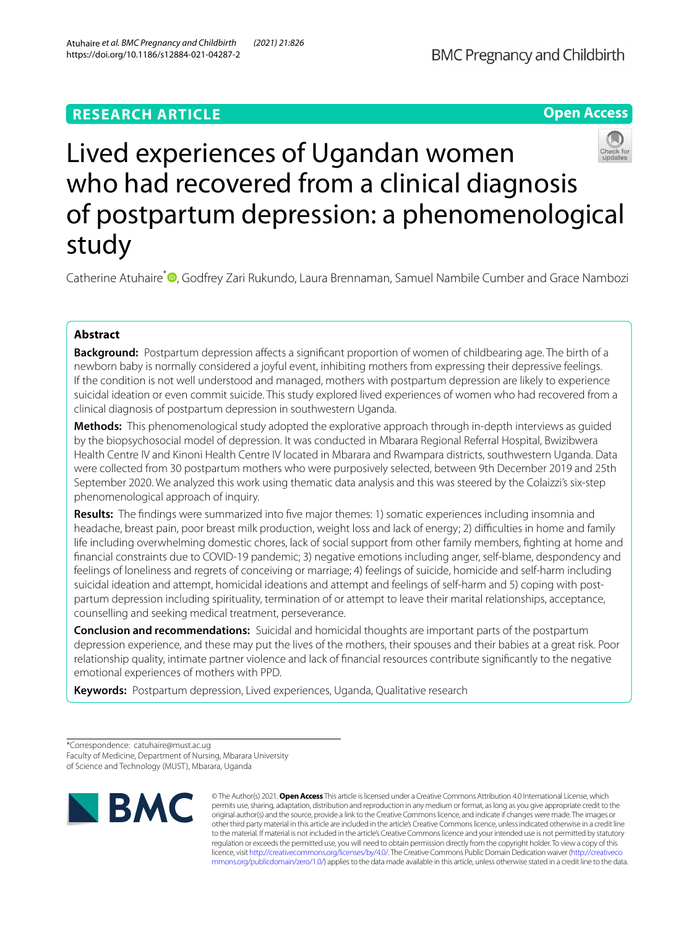# **RESEARCH ARTICLE**





Catherine Atuhaire<sup>[\\*](http://orcid.org/0000-0002-6028-7491)</sup> **®**, Godfrey Zari Rukundo, Laura Brennaman, Samuel Nambile Cumber and Grace Nambozi

# **Abstract**

**Background:** Postpartum depression affects a significant proportion of women of childbearing age. The birth of a newborn baby is normally considered a joyful event, inhibiting mothers from expressing their depressive feelings. If the condition is not well understood and managed, mothers with postpartum depression are likely to experience suicidal ideation or even commit suicide. This study explored lived experiences of women who had recovered from a clinical diagnosis of postpartum depression in southwestern Uganda.

**Methods:** This phenomenological study adopted the explorative approach through in-depth interviews as guided by the biopsychosocial model of depression. It was conducted in Mbarara Regional Referral Hospital, Bwizibwera Health Centre IV and Kinoni Health Centre IV located in Mbarara and Rwampara districts, southwestern Uganda. Data were collected from 30 postpartum mothers who were purposively selected, between 9th December 2019 and 25th September 2020. We analyzed this work using thematic data analysis and this was steered by the Colaizzi's six-step phenomenological approach of inquiry.

**Results:** The fndings were summarized into fve major themes: 1) somatic experiences including insomnia and headache, breast pain, poor breast milk production, weight loss and lack of energy; 2) difficulties in home and family life including overwhelming domestic chores, lack of social support from other family members, fghting at home and fnancial constraints due to COVID-19 pandemic; 3) negative emotions including anger, self-blame, despondency and feelings of loneliness and regrets of conceiving or marriage; 4) feelings of suicide, homicide and self-harm including suicidal ideation and attempt, homicidal ideations and attempt and feelings of self-harm and 5) coping with postpartum depression including spirituality, termination of or attempt to leave their marital relationships, acceptance, counselling and seeking medical treatment, perseverance.

**Conclusion and recommendations:** Suicidal and homicidal thoughts are important parts of the postpartum depression experience, and these may put the lives of the mothers, their spouses and their babies at a great risk. Poor relationship quality, intimate partner violence and lack of fnancial resources contribute signifcantly to the negative emotional experiences of mothers with PPD.

**Keywords:** Postpartum depression, Lived experiences, Uganda, Qualitative research

\*Correspondence: catuhaire@must.ac.ug Faculty of Medicine, Department of Nursing, Mbarara University of Science and Technology (MUST), Mbarara, Uganda



© The Author(s) 2021. **Open Access** This article is licensed under a Creative Commons Attribution 4.0 International License, which permits use, sharing, adaptation, distribution and reproduction in any medium or format, as long as you give appropriate credit to the original author(s) and the source, provide a link to the Creative Commons licence, and indicate if changes were made. The images or other third party material in this article are included in the article's Creative Commons licence, unless indicated otherwise in a credit line to the material. If material is not included in the article's Creative Commons licence and your intended use is not permitted by statutory regulation or exceeds the permitted use, you will need to obtain permission directly from the copyright holder. To view a copy of this licence, visit [http://creativecommons.org/licenses/by/4.0/.](http://creativecommons.org/licenses/by/4.0/) The Creative Commons Public Domain Dedication waiver ([http://creativeco](http://creativecommons.org/publicdomain/zero/1.0/) [mmons.org/publicdomain/zero/1.0/](http://creativecommons.org/publicdomain/zero/1.0/)) applies to the data made available in this article, unless otherwise stated in a credit line to the data.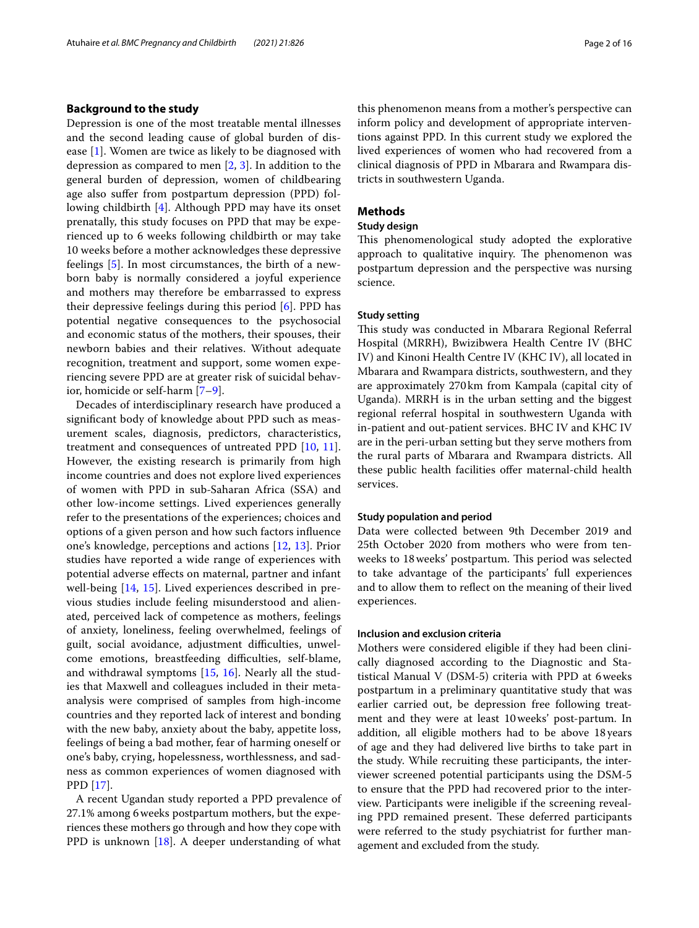# **Background to the study**

Depression is one of the most treatable mental illnesses and the second leading cause of global burden of disease [\[1](#page-14-0)]. Women are twice as likely to be diagnosed with depression as compared to men [\[2](#page-14-1), [3](#page-14-2)]. In addition to the general burden of depression, women of childbearing age also sufer from postpartum depression (PPD) following childbirth [\[4](#page-14-3)]. Although PPD may have its onset prenatally, this study focuses on PPD that may be experienced up to 6 weeks following childbirth or may take 10 weeks before a mother acknowledges these depressive feelings [[5\]](#page-14-4). In most circumstances, the birth of a newborn baby is normally considered a joyful experience and mothers may therefore be embarrassed to express their depressive feelings during this period [[6\]](#page-14-5). PPD has potential negative consequences to the psychosocial and economic status of the mothers, their spouses, their newborn babies and their relatives. Without adequate recognition, treatment and support, some women experiencing severe PPD are at greater risk of suicidal behavior, homicide or self-harm [[7–](#page-14-6)[9\]](#page-14-7).

Decades of interdisciplinary research have produced a signifcant body of knowledge about PPD such as measurement scales, diagnosis, predictors, characteristics, treatment and consequences of untreated PPD [[10,](#page-14-8) [11](#page-14-9)]. However, the existing research is primarily from high income countries and does not explore lived experiences of women with PPD in sub-Saharan Africa (SSA) and other low-income settings. Lived experiences generally refer to the presentations of the experiences; choices and options of a given person and how such factors infuence one's knowledge, perceptions and actions [[12,](#page-14-10) [13\]](#page-14-11). Prior studies have reported a wide range of experiences with potential adverse efects on maternal, partner and infant well-being [\[14](#page-14-12), [15\]](#page-14-13). Lived experiences described in previous studies include feeling misunderstood and alienated, perceived lack of competence as mothers, feelings of anxiety, loneliness, feeling overwhelmed, feelings of guilt, social avoidance, adjustment difficulties, unwelcome emotions, breastfeeding difficulties, self-blame, and withdrawal symptoms [\[15](#page-14-13), [16\]](#page-14-14). Nearly all the studies that Maxwell and colleagues included in their metaanalysis were comprised of samples from high-income countries and they reported lack of interest and bonding with the new baby, anxiety about the baby, appetite loss, feelings of being a bad mother, fear of harming oneself or one's baby, crying, hopelessness, worthlessness, and sadness as common experiences of women diagnosed with PPD [[17\]](#page-14-15).

A recent Ugandan study reported a PPD prevalence of 27.1% among 6weeks postpartum mothers, but the experiences these mothers go through and how they cope with PPD is unknown [[18](#page-14-16)]. A deeper understanding of what this phenomenon means from a mother's perspective can inform policy and development of appropriate interventions against PPD. In this current study we explored the lived experiences of women who had recovered from a clinical diagnosis of PPD in Mbarara and Rwampara districts in southwestern Uganda.

# **Methods**

#### **Study design**

This phenomenological study adopted the explorative approach to qualitative inquiry. The phenomenon was postpartum depression and the perspective was nursing science.

# **Study setting**

This study was conducted in Mbarara Regional Referral Hospital (MRRH), Bwizibwera Health Centre IV (BHC IV) and Kinoni Health Centre IV (KHC IV), all located in Mbarara and Rwampara districts, southwestern, and they are approximately 270km from Kampala (capital city of Uganda). MRRH is in the urban setting and the biggest regional referral hospital in southwestern Uganda with in-patient and out-patient services. BHC IV and KHC IV are in the peri-urban setting but they serve mothers from the rural parts of Mbarara and Rwampara districts. All these public health facilities offer maternal-child health services.

# **Study population and period**

Data were collected between 9th December 2019 and 25th October 2020 from mothers who were from tenweeks to 18 weeks' postpartum. This period was selected to take advantage of the participants' full experiences and to allow them to refect on the meaning of their lived experiences.

### **Inclusion and exclusion criteria**

Mothers were considered eligible if they had been clinically diagnosed according to the Diagnostic and Statistical Manual V (DSM-5) criteria with PPD at 6weeks postpartum in a preliminary quantitative study that was earlier carried out, be depression free following treatment and they were at least 10weeks' post-partum. In addition, all eligible mothers had to be above 18years of age and they had delivered live births to take part in the study. While recruiting these participants, the interviewer screened potential participants using the DSM-5 to ensure that the PPD had recovered prior to the interview. Participants were ineligible if the screening revealing PPD remained present. These deferred participants were referred to the study psychiatrist for further management and excluded from the study.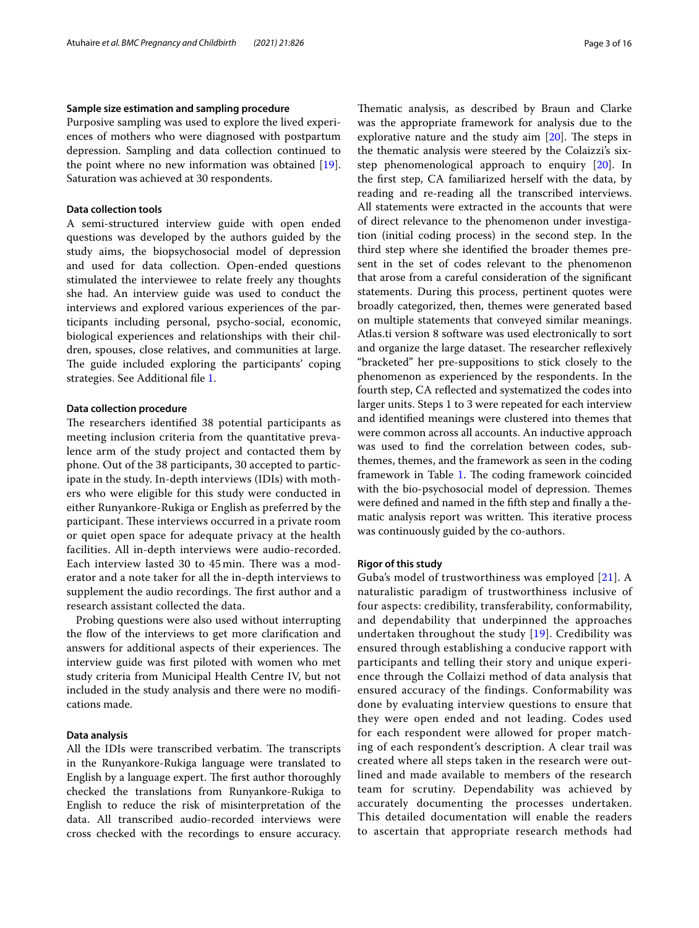### **Sample size estimation and sampling procedure**

Purposive sampling was used to explore the lived experiences of mothers who were diagnosed with postpartum depression. Sampling and data collection continued to the point where no new information was obtained [\[19](#page-14-17)]. Saturation was achieved at 30 respondents.

# **Data collection tools**

A semi-structured interview guide with open ended questions was developed by the authors guided by the study aims, the biopsychosocial model of depression and used for data collection. Open-ended questions stimulated the interviewee to relate freely any thoughts she had. An interview guide was used to conduct the interviews and explored various experiences of the participants including personal, psycho-social, economic, biological experiences and relationships with their children, spouses, close relatives, and communities at large. The guide included exploring the participants' coping strategies. See Additional fle [1](#page-13-0).

# **Data collection procedure**

The researchers identified 38 potential participants as meeting inclusion criteria from the quantitative prevalence arm of the study project and contacted them by phone. Out of the 38 participants, 30 accepted to participate in the study. In-depth interviews (IDIs) with mothers who were eligible for this study were conducted in either Runyankore-Rukiga or English as preferred by the participant. These interviews occurred in a private room or quiet open space for adequate privacy at the health facilities. All in-depth interviews were audio-recorded. Each interview lasted 30 to 45 min. There was a moderator and a note taker for all the in-depth interviews to supplement the audio recordings. The first author and a research assistant collected the data.

Probing questions were also used without interrupting the flow of the interviews to get more clarification and answers for additional aspects of their experiences. The interview guide was frst piloted with women who met study criteria from Municipal Health Centre IV, but not included in the study analysis and there were no modifcations made.

## **Data analysis**

All the IDIs were transcribed verbatim. The transcripts in the Runyankore-Rukiga language were translated to English by a language expert. The first author thoroughly checked the translations from Runyankore-Rukiga to English to reduce the risk of misinterpretation of the data. All transcribed audio-recorded interviews were cross checked with the recordings to ensure accuracy.

Thematic analysis, as described by Braun and Clarke was the appropriate framework for analysis due to the explorative nature and the study aim  $[20]$  $[20]$ . The steps in the thematic analysis were steered by the Colaizzi's sixstep phenomenological approach to enquiry [[20](#page-14-18)]. In the frst step, CA familiarized herself with the data, by reading and re-reading all the transcribed interviews. All statements were extracted in the accounts that were of direct relevance to the phenomenon under investigation (initial coding process) in the second step. In the third step where she identifed the broader themes present in the set of codes relevant to the phenomenon that arose from a careful consideration of the signifcant statements. During this process, pertinent quotes were broadly categorized, then, themes were generated based on multiple statements that conveyed similar meanings. Atlas.ti version 8 software was used electronically to sort and organize the large dataset. The researcher reflexively "bracketed" her pre-suppositions to stick closely to the phenomenon as experienced by the respondents. In the fourth step, CA refected and systematized the codes into larger units. Steps 1 to 3 were repeated for each interview and identifed meanings were clustered into themes that were common across all accounts. An inductive approach was used to fnd the correlation between codes, subthemes, themes, and the framework as seen in the coding framework in Table [1.](#page-3-0) The coding framework coincided with the bio-psychosocial model of depression. Themes were defned and named in the ffth step and fnally a thematic analysis report was written. This iterative process was continuously guided by the co-authors.

## **Rigor of this study**

Guba's model of trustworthiness was employed [[21](#page-14-19)]. A naturalistic paradigm of trustworthiness inclusive of four aspects: credibility, transferability, conformability, and dependability that underpinned the approaches undertaken throughout the study [[19\]](#page-14-17). Credibility was ensured through establishing a conducive rapport with participants and telling their story and unique experience through the Collaizi method of data analysis that ensured accuracy of the findings. Conformability was done by evaluating interview questions to ensure that they were open ended and not leading. Codes used for each respondent were allowed for proper matching of each respondent's description. A clear trail was created where all steps taken in the research were outlined and made available to members of the research team for scrutiny. Dependability was achieved by accurately documenting the processes undertaken. This detailed documentation will enable the readers to ascertain that appropriate research methods had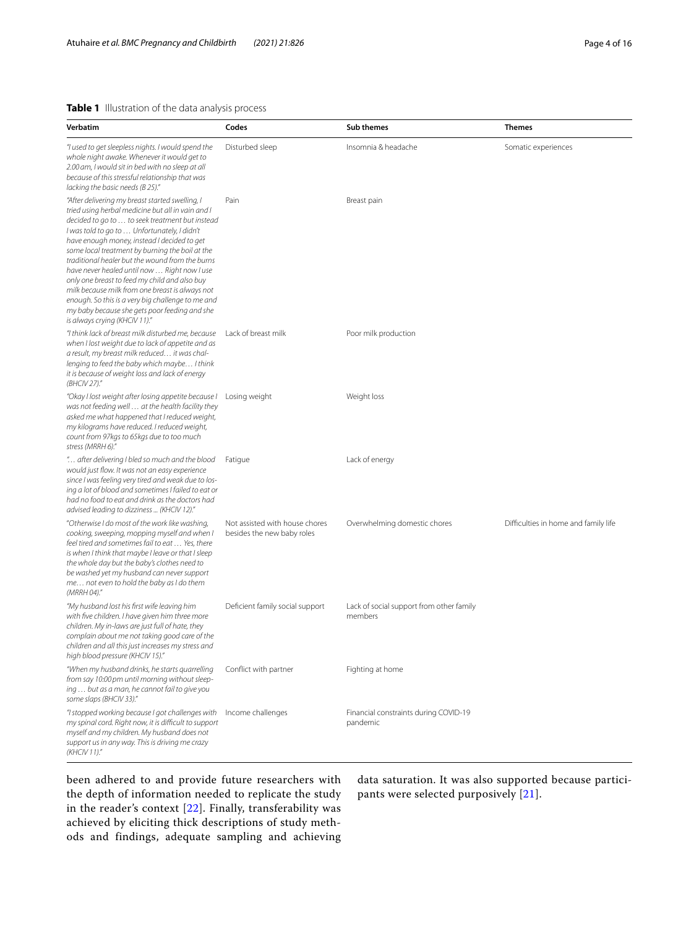# <span id="page-3-0"></span>**Table 1** Illustration of the data analysis process

| Verbatim                                                                                                                                                                                                                                                                                                                                                                                                                                                                                                                                                                                                                                                | Codes                                                        | Sub themes                                          | <b>Themes</b>                        |
|---------------------------------------------------------------------------------------------------------------------------------------------------------------------------------------------------------------------------------------------------------------------------------------------------------------------------------------------------------------------------------------------------------------------------------------------------------------------------------------------------------------------------------------------------------------------------------------------------------------------------------------------------------|--------------------------------------------------------------|-----------------------------------------------------|--------------------------------------|
| "I used to get sleepless nights. I would spend the<br>whole night awake. Whenever it would get to<br>2.00 am, I would sit in bed with no sleep at all<br>because of this stressful relationship that was<br>lacking the basic needs (B 25)."                                                                                                                                                                                                                                                                                                                                                                                                            | Disturbed sleep                                              | Insomnia & headache                                 | Somatic experiences                  |
| "After delivering my breast started swelling, I<br>tried using herbal medicine but all in vain and I<br>decided to go to  to seek treatment but instead<br>I was told to go to  Unfortunately, I didn't<br>have enough money, instead I decided to get<br>some local treatment by burning the boil at the<br>traditional healer but the wound from the burns<br>have never healed until now  Right now I use<br>only one breast to feed my child and also buy<br>milk because milk from one breast is always not<br>enough. So this is a very big challenge to me and<br>my baby because she gets poor feeding and she<br>is always crying (KHCIV 11)." | Pain                                                         | Breast pain                                         |                                      |
| "I think lack of breast milk disturbed me, because<br>when I lost weight due to lack of appetite and as<br>a result, my breast milk reduced it was chal-<br>lenging to feed the baby which maybe I think<br>it is because of weight loss and lack of energy<br>(BHCIV 27)."                                                                                                                                                                                                                                                                                                                                                                             | Lack of breast milk                                          | Poor milk production                                |                                      |
| "Okay I lost weight after losing appetite because I<br>was not feeding well  at the health facility they<br>asked me what happened that I reduced weight,<br>my kilograms have reduced. I reduced weight,<br>count from 97kgs to 65kgs due to too much<br>stress (MRRH 6)."                                                                                                                                                                                                                                                                                                                                                                             | Losing weight                                                | Weight loss                                         |                                      |
| " after delivering I bled so much and the blood."<br>would just flow. It was not an easy experience<br>since I was feeling very tired and weak due to los-<br>ing a lot of blood and sometimes I failed to eat or<br>had no food to eat and drink as the doctors had<br>advised leading to dizziness  (KHCIV 12)."                                                                                                                                                                                                                                                                                                                                      | Fatigue                                                      | Lack of energy                                      |                                      |
| "Otherwise I do most of the work like washing,<br>cooking, sweeping, mopping myself and when I<br>feel tired and sometimes fail to eat  Yes, there<br>is when I think that maybe I leave or that I sleep<br>the whole day but the baby's clothes need to<br>be washed yet my husband can never support<br>me not even to hold the baby as I do them<br>(MRRH 04)."                                                                                                                                                                                                                                                                                      | Not assisted with house chores<br>besides the new baby roles | Overwhelming domestic chores                        | Difficulties in home and family life |
| "My husband lost his first wife leaving him<br>with five children. I have given him three more<br>children. My in-laws are just full of hate, they<br>complain about me not taking good care of the<br>children and all this just increases my stress and<br>high blood pressure (KHCIV 15)."                                                                                                                                                                                                                                                                                                                                                           | Deficient family social support                              | Lack of social support from other family<br>members |                                      |
| "When my husband drinks, he starts quarrelling<br>from say 10:00 pm until morning without sleep-<br>ing  but as a man, he cannot fail to give you<br>some slaps (BHCIV 33)."                                                                                                                                                                                                                                                                                                                                                                                                                                                                            | Conflict with partner                                        | Fighting at home                                    |                                      |
| "I stopped working because I got challenges with<br>my spinal cord. Right now, it is difficult to support<br>myself and my children. My husband does not<br>support us in any way. This is driving me crazy<br>(KHCIV 11)."                                                                                                                                                                                                                                                                                                                                                                                                                             | Income challenges                                            | Financial constraints during COVID-19<br>pandemic   |                                      |

been adhered to and provide future researchers with the depth of information needed to replicate the study in the reader's context [\[22\]](#page-14-20). Finally, transferability was achieved by eliciting thick descriptions of study methods and findings, adequate sampling and achieving

data saturation. It was also supported because participants were selected purposively [[21](#page-14-19)].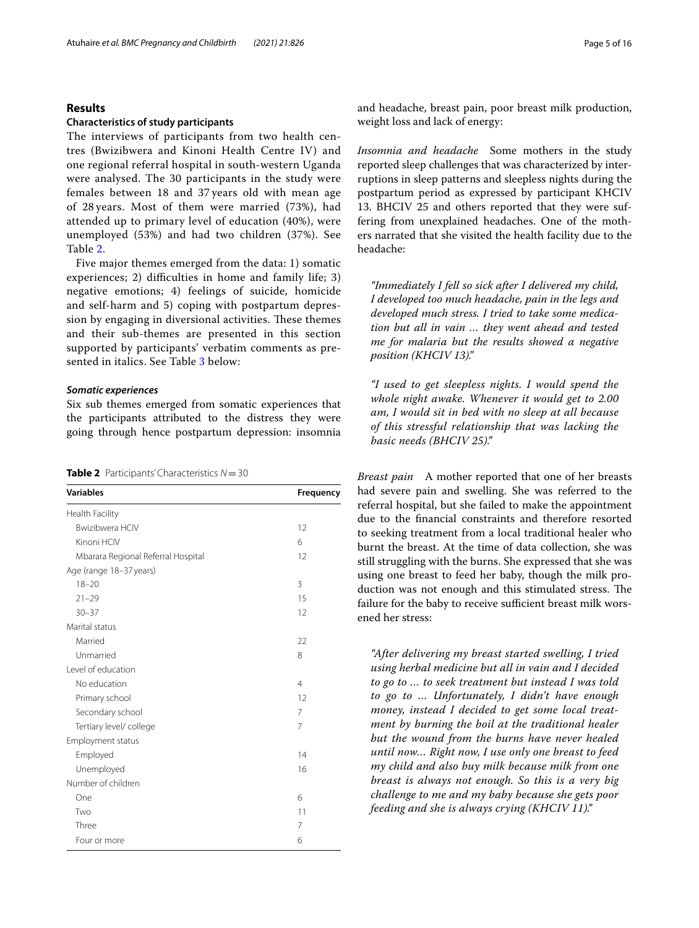# **Results**

#### **Characteristics of study participants**

The interviews of participants from two health centres (Bwizibwera and Kinoni Health Centre IV) and one regional referral hospital in south-western Uganda were analysed. The 30 participants in the study were females between 18 and 37 years old with mean age of 28 years. Most of them were married (73%), had attended up to primary level of education (40%), were unemployed (53%) and had two children (37%). See Table [2](#page-4-0).

Five major themes emerged from the data: 1) somatic experiences; 2) difficulties in home and family life; 3) negative emotions; 4) feelings of suicide, homicide and self-harm and 5) coping with postpartum depression by engaging in diversional activities. These themes and their sub-themes are presented in this section supported by participants' verbatim comments as presented in italics. See Table [3](#page-5-0) below:

# *Somatic experiences*

Six sub themes emerged from somatic experiences that the participants attributed to the distress they were going through hence postpartum depression: insomnia

<span id="page-4-0"></span>

|  |  | <b>Table 2</b> Participants' Characteristics $N = 30$ |  |  |
|--|--|-------------------------------------------------------|--|--|
|--|--|-------------------------------------------------------|--|--|

| <b>Variables</b>                   | Frequency      |  |
|------------------------------------|----------------|--|
| Health Facility                    |                |  |
| <b>Bwizibwera HCIV</b>             | 12             |  |
| Kinoni HCIV                        | 6              |  |
| Mbarara Regional Referral Hospital | 12             |  |
| Age (range 18-37 years)            |                |  |
| $18 - 20$                          | 3              |  |
| $21 - 29$                          | 15             |  |
| $30 - 37$                          | 12             |  |
| Marital status                     |                |  |
| Married                            | 22             |  |
| Unmarried                          | 8              |  |
| Level of education                 |                |  |
| No education                       | $\overline{4}$ |  |
| Primary school                     | 12             |  |
| Secondary school                   | 7              |  |
| Tertiary level/ college            | 7              |  |
| Employment status                  |                |  |
| Employed                           | 14             |  |
| Unemployed                         | 16             |  |
| Number of children                 |                |  |
| One                                | 6              |  |
| Two                                | 11             |  |
| Three                              | 7              |  |
| Four or more                       | 6              |  |
|                                    |                |  |

and headache, breast pain, poor breast milk production, weight loss and lack of energy:

*Insomnia and headache* Some mothers in the study reported sleep challenges that was characterized by interruptions in sleep patterns and sleepless nights during the postpartum period as expressed by participant KHCIV 13. BHCIV 25 and others reported that they were suffering from unexplained headaches. One of the mothers narrated that she visited the health facility due to the headache:

*"Immediately I fell so sick after I delivered my child, I developed too much headache, pain in the legs and developed much stress. I tried to take some medication but all in vain … they went ahead and tested me for malaria but the results showed a negative position (KHCIV 13)."*

*"I used to get sleepless nights. I would spend the whole night awake. Whenever it would get to 2.00 am, I would sit in bed with no sleep at all because of this stressful relationship that was lacking the basic needs (BHCIV 25)."*

*Breast pain* A mother reported that one of her breasts had severe pain and swelling. She was referred to the referral hospital, but she failed to make the appointment due to the fnancial constraints and therefore resorted to seeking treatment from a local traditional healer who burnt the breast. At the time of data collection, she was still struggling with the burns. She expressed that she was using one breast to feed her baby, though the milk production was not enough and this stimulated stress. The failure for the baby to receive sufficient breast milk worsened her stress:

*"After delivering my breast started swelling, I tried using herbal medicine but all in vain and I decided to go to … to seek treatment but instead I was told to go to … Unfortunately, I didn't have enough money, instead I decided to get some local treatment by burning the boil at the traditional healer but the wound from the burns have never healed until now… Right now, I use only one breast to feed my child and also buy milk because milk from one breast is always not enough. So this is a very big challenge to me and my baby because she gets poor feeding and she is always crying (KHCIV 11)."*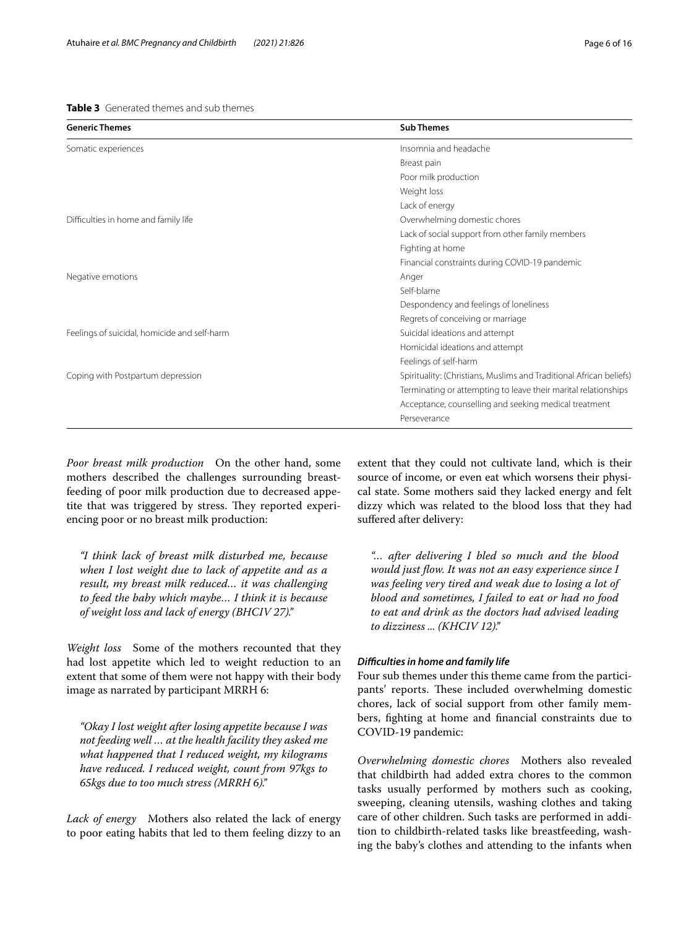# <span id="page-5-0"></span>**Table 3** Generated themes and sub themes

| <b>Generic Themes</b>                        | <b>Sub Themes</b>                                                   |
|----------------------------------------------|---------------------------------------------------------------------|
| Somatic experiences                          | Insomnia and headache                                               |
|                                              | Breast pain                                                         |
|                                              | Poor milk production                                                |
|                                              | Weight loss                                                         |
|                                              | Lack of energy                                                      |
| Difficulties in home and family life         | Overwhelming domestic chores                                        |
|                                              | Lack of social support from other family members                    |
|                                              | Fighting at home                                                    |
|                                              | Financial constraints during COVID-19 pandemic                      |
| Negative emotions                            | Anger                                                               |
|                                              | Self-blame                                                          |
|                                              | Despondency and feelings of loneliness                              |
|                                              | Regrets of conceiving or marriage                                   |
| Feelings of suicidal, homicide and self-harm | Suicidal ideations and attempt                                      |
|                                              | Homicidal ideations and attempt                                     |
|                                              | Feelings of self-harm                                               |
| Coping with Postpartum depression            | Spirituality: (Christians, Muslims and Traditional African beliefs) |
|                                              | Terminating or attempting to leave their marital relationships      |
|                                              | Acceptance, counselling and seeking medical treatment               |
|                                              | Perseverance                                                        |
|                                              |                                                                     |

*Poor breast milk production* On the other hand, some mothers described the challenges surrounding breastfeeding of poor milk production due to decreased appetite that was triggered by stress. They reported experiencing poor or no breast milk production:

*"I think lack of breast milk disturbed me, because when I lost weight due to lack of appetite and as a result, my breast milk reduced… it was challenging to feed the baby which maybe… I think it is because of weight loss and lack of energy (BHCIV 27)."*

*Weight loss* Some of the mothers recounted that they had lost appetite which led to weight reduction to an extent that some of them were not happy with their body image as narrated by participant MRRH 6:

*"Okay I lost weight after losing appetite because I was not feeding well … at the health facility they asked me what happened that I reduced weight, my kilograms have reduced. I reduced weight, count from 97kgs to 65kgs due to too much stress (MRRH 6)."*

*Lack of energy* Mothers also related the lack of energy to poor eating habits that led to them feeling dizzy to an

extent that they could not cultivate land, which is their source of income, or even eat which worsens their physical state. Some mothers said they lacked energy and felt dizzy which was related to the blood loss that they had sufered after delivery:

*"… after delivering I bled so much and the blood would just fow. It was not an easy experience since I was feeling very tired and weak due to losing a lot of blood and sometimes, I failed to eat or had no food to eat and drink as the doctors had advised leading to dizziness ... (KHCIV 12)."*

# *Difculties in home and family life*

Four sub themes under this theme came from the participants' reports. These included overwhelming domestic chores, lack of social support from other family members, fghting at home and fnancial constraints due to COVID-19 pandemic:

*Overwhelming domestic chores* Mothers also revealed that childbirth had added extra chores to the common tasks usually performed by mothers such as cooking, sweeping, cleaning utensils, washing clothes and taking care of other children. Such tasks are performed in addition to childbirth-related tasks like breastfeeding, washing the baby's clothes and attending to the infants when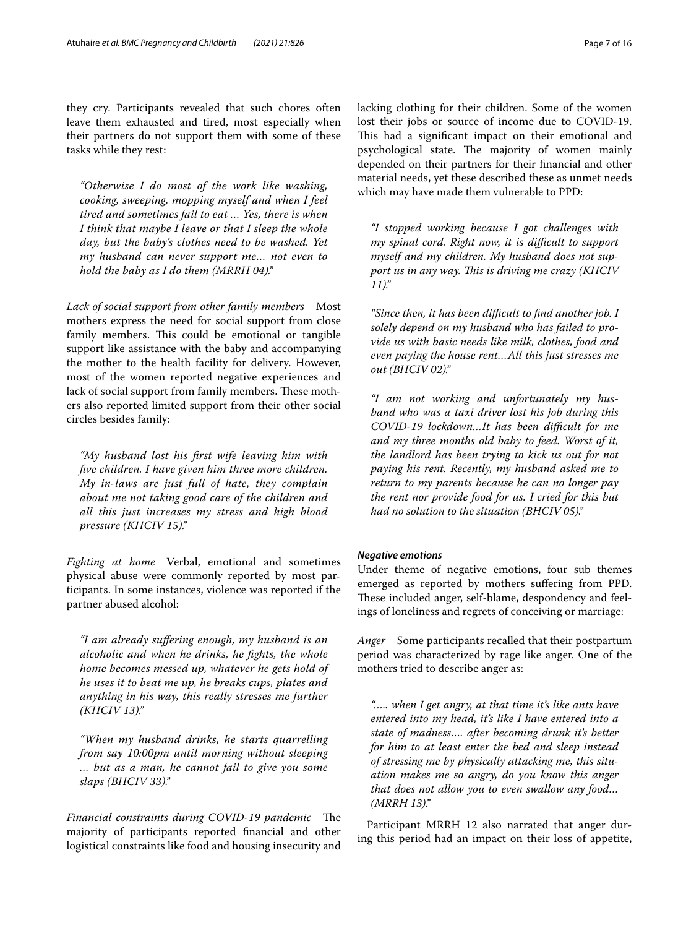they cry. Participants revealed that such chores often leave them exhausted and tired, most especially when their partners do not support them with some of these tasks while they rest:

*"Otherwise I do most of the work like washing, cooking, sweeping, mopping myself and when I feel tired and sometimes fail to eat … Yes, there is when I think that maybe I leave or that I sleep the whole day, but the baby's clothes need to be washed. Yet my husband can never support me… not even to hold the baby as I do them (MRRH 04)."*

*Lack of social support from other family members* Most mothers express the need for social support from close family members. This could be emotional or tangible support like assistance with the baby and accompanying the mother to the health facility for delivery. However, most of the women reported negative experiences and lack of social support from family members. These mothers also reported limited support from their other social circles besides family:

*"My husband lost his frst wife leaving him with fve children. I have given him three more children. My in-laws are just full of hate, they complain about me not taking good care of the children and all this just increases my stress and high blood pressure (KHCIV 15)."*

*Fighting at home* Verbal, emotional and sometimes physical abuse were commonly reported by most participants. In some instances, violence was reported if the partner abused alcohol:

*"I am already sufering enough, my husband is an alcoholic and when he drinks, he fghts, the whole home becomes messed up, whatever he gets hold of he uses it to beat me up, he breaks cups, plates and anything in his way, this really stresses me further (KHCIV 13)."*

*"When my husband drinks, he starts quarrelling from say 10:00pm until morning without sleeping … but as a man, he cannot fail to give you some slaps (BHCIV 33)."*

*Financial constraints during COVID-19 pandemic* The majority of participants reported fnancial and other logistical constraints like food and housing insecurity and lacking clothing for their children. Some of the women lost their jobs or source of income due to COVID-19. This had a significant impact on their emotional and psychological state. The majority of women mainly depended on their partners for their fnancial and other material needs, yet these described these as unmet needs which may have made them vulnerable to PPD:

*"I stopped working because I got challenges with my spinal cord. Right now, it is difcult to support myself and my children. My husband does not support us in any way. Tis is driving me crazy (KHCIV 11)."*

*"Since then, it has been difcult to fnd another job. I solely depend on my husband who has failed to provide us with basic needs like milk, clothes, food and even paying the house rent…All this just stresses me out (BHCIV 02)."*

*"I am not working and unfortunately my husband who was a taxi driver lost his job during this COVID-19 lockdown…It has been difcult for me and my three months old baby to feed. Worst of it, the landlord has been trying to kick us out for not paying his rent. Recently, my husband asked me to return to my parents because he can no longer pay the rent nor provide food for us. I cried for this but had no solution to the situation (BHCIV 05)."*

# *Negative emotions*

Under theme of negative emotions, four sub themes emerged as reported by mothers sufering from PPD. These included anger, self-blame, despondency and feelings of loneliness and regrets of conceiving or marriage:

*Anger* Some participants recalled that their postpartum period was characterized by rage like anger. One of the mothers tried to describe anger as:

*"….. when I get angry, at that time it's like ants have entered into my head, it's like I have entered into a state of madness…. after becoming drunk it's better for him to at least enter the bed and sleep instead of stressing me by physically attacking me, this situation makes me so angry, do you know this anger that does not allow you to even swallow any food… (MRRH 13)."*

Participant MRRH 12 also narrated that anger during this period had an impact on their loss of appetite,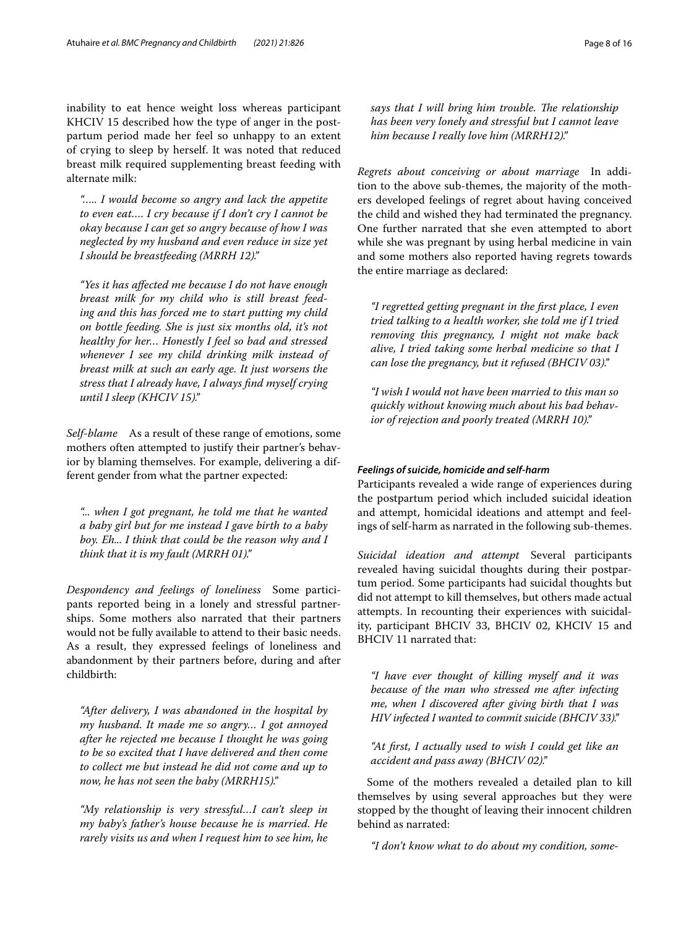inability to eat hence weight loss whereas participant KHCIV 15 described how the type of anger in the postpartum period made her feel so unhappy to an extent of crying to sleep by herself. It was noted that reduced breast milk required supplementing breast feeding with alternate milk:

*"….. I would become so angry and lack the appetite to even eat…. I cry because if I don't cry I cannot be okay because I can get so angry because of how I was neglected by my husband and even reduce in size yet I should be breastfeeding (MRRH 12)."*

*"Yes it has afected me because I do not have enough breast milk for my child who is still breast feeding and this has forced me to start putting my child on bottle feeding. She is just six months old, it's not healthy for her… Honestly I feel so bad and stressed whenever I see my child drinking milk instead of breast milk at such an early age. It just worsens the stress that I already have, I always fnd myself crying until I sleep (KHCIV 15)."*

*Self-blame* As a result of these range of emotions, some mothers often attempted to justify their partner's behavior by blaming themselves. For example, delivering a different gender from what the partner expected:

*"... when I got pregnant, he told me that he wanted a baby girl but for me instead I gave birth to a baby boy. Eh... I think that could be the reason why and I think that it is my fault (MRRH 01)."*

*Despondency and feelings of loneliness* Some participants reported being in a lonely and stressful partnerships. Some mothers also narrated that their partners would not be fully available to attend to their basic needs. As a result, they expressed feelings of loneliness and abandonment by their partners before, during and after childbirth:

*"After delivery, I was abandoned in the hospital by my husband. It made me so angry… I got annoyed after he rejected me because I thought he was going to be so excited that I have delivered and then come to collect me but instead he did not come and up to now, he has not seen the baby (MRRH15)."*

*"My relationship is very stressful…I can't sleep in my baby's father's house because he is married. He rarely visits us and when I request him to see him, he* 

says that I will bring him trouble. The relationship *has been very lonely and stressful but I cannot leave him because I really love him (MRRH12)."*

*Regrets about conceiving or about marriage* In addition to the above sub-themes, the majority of the mothers developed feelings of regret about having conceived the child and wished they had terminated the pregnancy. One further narrated that she even attempted to abort while she was pregnant by using herbal medicine in vain and some mothers also reported having regrets towards the entire marriage as declared:

*"I regretted getting pregnant in the frst place, I even tried talking to a health worker, she told me if I tried removing this pregnancy, I might not make back alive, I tried taking some herbal medicine so that I can lose the pregnancy, but it refused (BHCIV 03)."*

*"I wish I would not have been married to this man so quickly without knowing much about his bad behavior of rejection and poorly treated (MRRH 10)."*

# *Feelings of suicide, homicide and self‑harm*

Participants revealed a wide range of experiences during the postpartum period which included suicidal ideation and attempt, homicidal ideations and attempt and feelings of self-harm as narrated in the following sub-themes.

*Suicidal ideation and attempt* Several participants revealed having suicidal thoughts during their postpartum period. Some participants had suicidal thoughts but did not attempt to kill themselves, but others made actual attempts. In recounting their experiences with suicidality, participant BHCIV 33, BHCIV 02, KHCIV 15 and BHCIV 11 narrated that:

*"I have ever thought of killing myself and it was because of the man who stressed me after infecting me, when I discovered after giving birth that I was HIV infected I wanted to commit suicide (BHCIV 33)."*

*"At frst, I actually used to wish I could get like an accident and pass away (BHCIV 02)."*

Some of the mothers revealed a detailed plan to kill themselves by using several approaches but they were stopped by the thought of leaving their innocent children behind as narrated:

*"I don't know what to do about my condition, some-*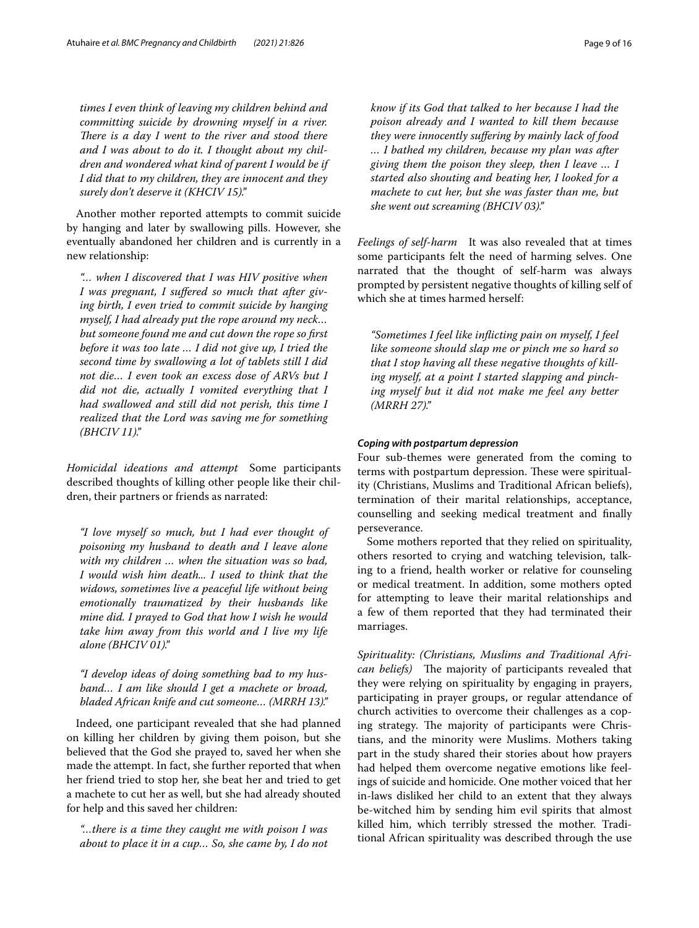*times I even think of leaving my children behind and committing suicide by drowning myself in a river. There is a day I went to the river and stood there and I was about to do it. I thought about my children and wondered what kind of parent I would be if I did that to my children, they are innocent and they surely don't deserve it (KHCIV 15)."*

Another mother reported attempts to commit suicide by hanging and later by swallowing pills. However, she eventually abandoned her children and is currently in a new relationship:

*"… when I discovered that I was HIV positive when I was pregnant, I sufered so much that after giving birth, I even tried to commit suicide by hanging myself, I had already put the rope around my neck… but someone found me and cut down the rope so frst before it was too late … I did not give up, I tried the second time by swallowing a lot of tablets still I did not die… I even took an excess dose of ARVs but I did not die, actually I vomited everything that I had swallowed and still did not perish, this time I realized that the Lord was saving me for something (BHCIV 11)."*

*Homicidal ideations and attempt* Some participants described thoughts of killing other people like their children, their partners or friends as narrated:

*"I love myself so much, but I had ever thought of poisoning my husband to death and I leave alone with my children … when the situation was so bad, I would wish him death... I used to think that the widows, sometimes live a peaceful life without being emotionally traumatized by their husbands like mine did. I prayed to God that how I wish he would take him away from this world and I live my life alone (BHCIV 01)."*

*"I develop ideas of doing something bad to my husband… I am like should I get a machete or broad, bladed African knife and cut someone… (MRRH 13)."*

Indeed, one participant revealed that she had planned on killing her children by giving them poison, but she believed that the God she prayed to, saved her when she made the attempt. In fact, she further reported that when her friend tried to stop her, she beat her and tried to get a machete to cut her as well, but she had already shouted for help and this saved her children:

*"…there is a time they caught me with poison I was about to place it in a cup… So, she came by, I do not* 

*know if its God that talked to her because I had the poison already and I wanted to kill them because they were innocently sufering by mainly lack of food … I bathed my children, because my plan was after giving them the poison they sleep, then I leave … I started also shouting and beating her, I looked for a machete to cut her, but she was faster than me, but she went out screaming (BHCIV 03)."*

*Feelings of self-harm* It was also revealed that at times some participants felt the need of harming selves. One narrated that the thought of self-harm was always prompted by persistent negative thoughts of killing self of which she at times harmed herself:

*"Sometimes I feel like inficting pain on myself, I feel like someone should slap me or pinch me so hard so that I stop having all these negative thoughts of killing myself, at a point I started slapping and pinching myself but it did not make me feel any better (MRRH 27)."*

## *Coping with postpartum depression*

Four sub-themes were generated from the coming to terms with postpartum depression. These were spirituality (Christians, Muslims and Traditional African beliefs), termination of their marital relationships, acceptance, counselling and seeking medical treatment and fnally perseverance.

Some mothers reported that they relied on spirituality, others resorted to crying and watching television, talking to a friend, health worker or relative for counseling or medical treatment. In addition, some mothers opted for attempting to leave their marital relationships and a few of them reported that they had terminated their marriages.

*Spirituality: (Christians, Muslims and Traditional African beliefs*) The majority of participants revealed that they were relying on spirituality by engaging in prayers, participating in prayer groups, or regular attendance of church activities to overcome their challenges as a coping strategy. The majority of participants were Christians, and the minority were Muslims. Mothers taking part in the study shared their stories about how prayers had helped them overcome negative emotions like feelings of suicide and homicide. One mother voiced that her in-laws disliked her child to an extent that they always be-witched him by sending him evil spirits that almost killed him, which terribly stressed the mother. Traditional African spirituality was described through the use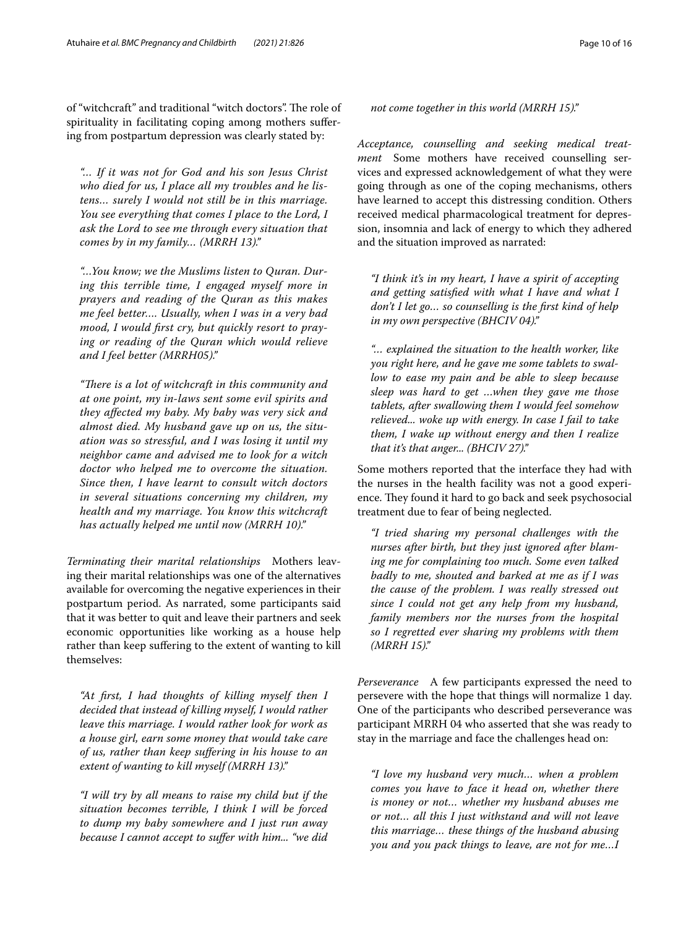of "witchcraft" and traditional "witch doctors". The role of spirituality in facilitating coping among mothers sufering from postpartum depression was clearly stated by:

*"… If it was not for God and his son Jesus Christ who died for us, I place all my troubles and he listens… surely I would not still be in this marriage. You see everything that comes I place to the Lord, I ask the Lord to see me through every situation that comes by in my family… (MRRH 13)."*

*"…You know; we the Muslims listen to Quran. During this terrible time, I engaged myself more in prayers and reading of the Quran as this makes me feel better…. Usually, when I was in a very bad mood, I would frst cry, but quickly resort to praying or reading of the Quran which would relieve and I feel better (MRRH05)."*

"There is a lot of witchcraft in this community and *at one point, my in-laws sent some evil spirits and they afected my baby. My baby was very sick and almost died. My husband gave up on us, the situation was so stressful, and I was losing it until my neighbor came and advised me to look for a witch doctor who helped me to overcome the situation. Since then, I have learnt to consult witch doctors in several situations concerning my children, my health and my marriage. You know this witchcraft has actually helped me until now (MRRH 10)."*

*Terminating their marital relationships* Mothers leaving their marital relationships was one of the alternatives available for overcoming the negative experiences in their postpartum period. As narrated, some participants said that it was better to quit and leave their partners and seek economic opportunities like working as a house help rather than keep suffering to the extent of wanting to kill themselves:

*"At frst, I had thoughts of killing myself then I decided that instead of killing myself, I would rather leave this marriage. I would rather look for work as a house girl, earn some money that would take care of us, rather than keep sufering in his house to an extent of wanting to kill myself (MRRH 13)."*

*"I will try by all means to raise my child but if the situation becomes terrible, I think I will be forced to dump my baby somewhere and I just run away because I cannot accept to sufer with him... "we did* 

*not come together in this world (MRRH 15)."*

*Acceptance, counselling and seeking medical treatment* Some mothers have received counselling services and expressed acknowledgement of what they were going through as one of the coping mechanisms, others have learned to accept this distressing condition. Others received medical pharmacological treatment for depression, insomnia and lack of energy to which they adhered and the situation improved as narrated:

*"I think it's in my heart, I have a spirit of accepting and getting satisfed with what I have and what I don't I let go… so counselling is the frst kind of help in my own perspective (BHCIV 04)."*

*"… explained the situation to the health worker, like you right here, and he gave me some tablets to swallow to ease my pain and be able to sleep because sleep was hard to get …when they gave me those tablets, after swallowing them I would feel somehow relieved... woke up with energy. In case I fail to take them, I wake up without energy and then I realize that it's that anger... (BHCIV 27)."*

Some mothers reported that the interface they had with the nurses in the health facility was not a good experience. They found it hard to go back and seek psychosocial treatment due to fear of being neglected.

*"I tried sharing my personal challenges with the nurses after birth, but they just ignored after blaming me for complaining too much. Some even talked badly to me, shouted and barked at me as if I was the cause of the problem. I was really stressed out since I could not get any help from my husband, family members nor the nurses from the hospital so I regretted ever sharing my problems with them (MRRH 15)."*

*Perseverance* A few participants expressed the need to persevere with the hope that things will normalize 1 day. One of the participants who described perseverance was participant MRRH 04 who asserted that she was ready to stay in the marriage and face the challenges head on:

*"I love my husband very much… when a problem comes you have to face it head on, whether there is money or not… whether my husband abuses me or not… all this I just withstand and will not leave this marriage… these things of the husband abusing you and you pack things to leave, are not for me…I*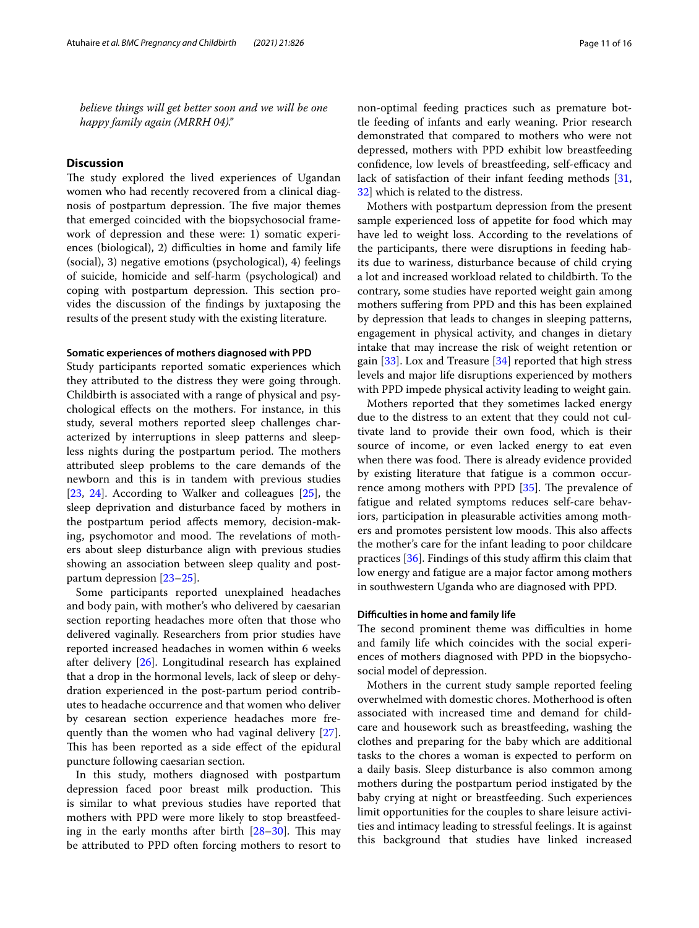*believe things will get better soon and we will be one happy family again (MRRH 04)."*

## **Discussion**

The study explored the lived experiences of Ugandan women who had recently recovered from a clinical diagnosis of postpartum depression. The five major themes that emerged coincided with the biopsychosocial framework of depression and these were: 1) somatic experiences (biological), 2) difficulties in home and family life (social), 3) negative emotions (psychological), 4) feelings of suicide, homicide and self-harm (psychological) and coping with postpartum depression. This section provides the discussion of the fndings by juxtaposing the results of the present study with the existing literature.

## **Somatic experiences of mothers diagnosed with PPD**

Study participants reported somatic experiences which they attributed to the distress they were going through. Childbirth is associated with a range of physical and psychological efects on the mothers. For instance, in this study, several mothers reported sleep challenges characterized by interruptions in sleep patterns and sleepless nights during the postpartum period. The mothers attributed sleep problems to the care demands of the newborn and this is in tandem with previous studies [[23,](#page-14-21) [24](#page-14-22)]. According to Walker and colleagues [[25\]](#page-14-23), the sleep deprivation and disturbance faced by mothers in the postpartum period afects memory, decision-making, psychomotor and mood. The revelations of mothers about sleep disturbance align with previous studies showing an association between sleep quality and postpartum depression [\[23–](#page-14-21)[25\]](#page-14-23).

Some participants reported unexplained headaches and body pain, with mother's who delivered by caesarian section reporting headaches more often that those who delivered vaginally. Researchers from prior studies have reported increased headaches in women within 6 weeks after delivery [\[26](#page-14-24)]. Longitudinal research has explained that a drop in the hormonal levels, lack of sleep or dehydration experienced in the post-partum period contributes to headache occurrence and that women who deliver by cesarean section experience headaches more frequently than the women who had vaginal delivery [\[27](#page-14-25)]. This has been reported as a side effect of the epidural puncture following caesarian section.

In this study, mothers diagnosed with postpartum depression faced poor breast milk production. This is similar to what previous studies have reported that mothers with PPD were more likely to stop breastfeeding in the early months after birth  $[28-30]$  $[28-30]$  $[28-30]$ . This may be attributed to PPD often forcing mothers to resort to non-optimal feeding practices such as premature bottle feeding of infants and early weaning. Prior research demonstrated that compared to mothers who were not depressed, mothers with PPD exhibit low breastfeeding confidence, low levels of breastfeeding, self-efficacy and lack of satisfaction of their infant feeding methods [[31](#page-14-28), [32\]](#page-14-29) which is related to the distress.

Mothers with postpartum depression from the present sample experienced loss of appetite for food which may have led to weight loss. According to the revelations of the participants, there were disruptions in feeding habits due to wariness, disturbance because of child crying a lot and increased workload related to childbirth. To the contrary, some studies have reported weight gain among mothers sufering from PPD and this has been explained by depression that leads to changes in sleeping patterns, engagement in physical activity, and changes in dietary intake that may increase the risk of weight retention or gain [[33\]](#page-14-30). Lox and Treasure [[34\]](#page-14-31) reported that high stress levels and major life disruptions experienced by mothers with PPD impede physical activity leading to weight gain.

Mothers reported that they sometimes lacked energy due to the distress to an extent that they could not cultivate land to provide their own food, which is their source of income, or even lacked energy to eat even when there was food. There is already evidence provided by existing literature that fatigue is a common occurrence among mothers with PPD  $[35]$  $[35]$ . The prevalence of fatigue and related symptoms reduces self-care behaviors, participation in pleasurable activities among mothers and promotes persistent low moods. This also affects the mother's care for the infant leading to poor childcare practices  $[36]$  $[36]$ . Findings of this study affirm this claim that low energy and fatigue are a major factor among mothers in southwestern Uganda who are diagnosed with PPD.

## **Difculties in home and family life**

The second prominent theme was difficulties in home and family life which coincides with the social experiences of mothers diagnosed with PPD in the biopsychosocial model of depression.

Mothers in the current study sample reported feeling overwhelmed with domestic chores. Motherhood is often associated with increased time and demand for childcare and housework such as breastfeeding, washing the clothes and preparing for the baby which are additional tasks to the chores a woman is expected to perform on a daily basis. Sleep disturbance is also common among mothers during the postpartum period instigated by the baby crying at night or breastfeeding. Such experiences limit opportunities for the couples to share leisure activities and intimacy leading to stressful feelings. It is against this background that studies have linked increased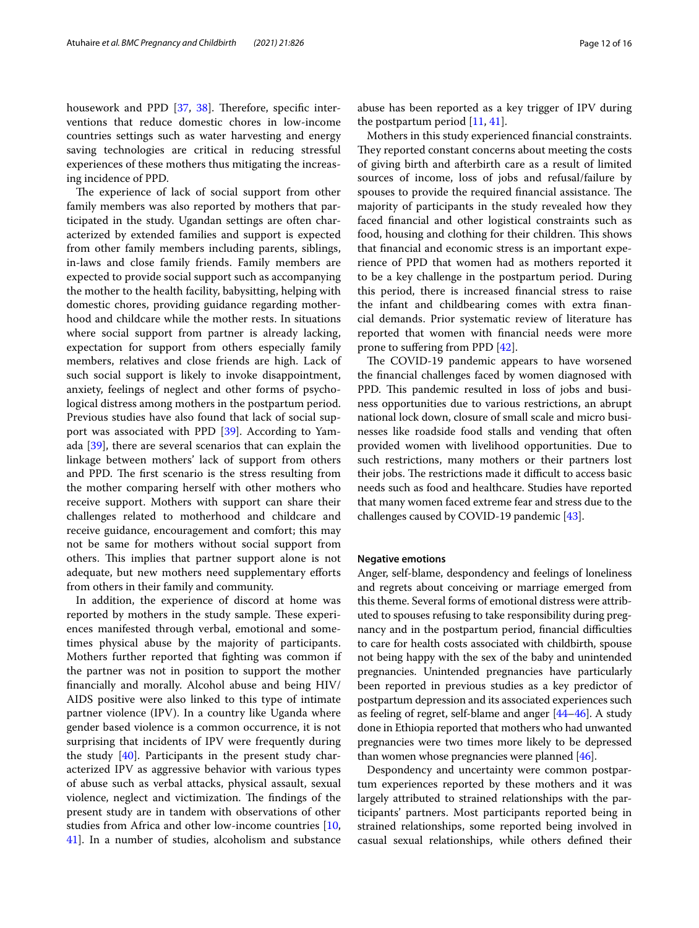housework and PPD [\[37,](#page-14-34) [38](#page-14-35)]. Therefore, specific interventions that reduce domestic chores in low-income countries settings such as water harvesting and energy saving technologies are critical in reducing stressful experiences of these mothers thus mitigating the increasing incidence of PPD.

The experience of lack of social support from other family members was also reported by mothers that participated in the study. Ugandan settings are often characterized by extended families and support is expected from other family members including parents, siblings, in-laws and close family friends. Family members are expected to provide social support such as accompanying the mother to the health facility, babysitting, helping with domestic chores, providing guidance regarding motherhood and childcare while the mother rests. In situations where social support from partner is already lacking, expectation for support from others especially family members, relatives and close friends are high. Lack of such social support is likely to invoke disappointment, anxiety, feelings of neglect and other forms of psychological distress among mothers in the postpartum period. Previous studies have also found that lack of social support was associated with PPD [\[39\]](#page-15-0). According to Yamada [\[39](#page-15-0)], there are several scenarios that can explain the linkage between mothers' lack of support from others and PPD. The first scenario is the stress resulting from the mother comparing herself with other mothers who receive support. Mothers with support can share their challenges related to motherhood and childcare and receive guidance, encouragement and comfort; this may not be same for mothers without social support from others. This implies that partner support alone is not adequate, but new mothers need supplementary eforts from others in their family and community.

In addition, the experience of discord at home was reported by mothers in the study sample. These experiences manifested through verbal, emotional and sometimes physical abuse by the majority of participants. Mothers further reported that fghting was common if the partner was not in position to support the mother fnancially and morally. Alcohol abuse and being HIV/ AIDS positive were also linked to this type of intimate partner violence (IPV). In a country like Uganda where gender based violence is a common occurrence, it is not surprising that incidents of IPV were frequently during the study [\[40\]](#page-15-1). Participants in the present study characterized IPV as aggressive behavior with various types of abuse such as verbal attacks, physical assault, sexual violence, neglect and victimization. The findings of the present study are in tandem with observations of other studies from Africa and other low-income countries [\[10](#page-14-8), [41\]](#page-15-2). In a number of studies, alcoholism and substance abuse has been reported as a key trigger of IPV during the postpartum period [[11,](#page-14-9) [41\]](#page-15-2).

Mothers in this study experienced fnancial constraints. They reported constant concerns about meeting the costs of giving birth and afterbirth care as a result of limited sources of income, loss of jobs and refusal/failure by spouses to provide the required financial assistance. The majority of participants in the study revealed how they faced fnancial and other logistical constraints such as food, housing and clothing for their children. This shows that fnancial and economic stress is an important experience of PPD that women had as mothers reported it to be a key challenge in the postpartum period. During this period, there is increased fnancial stress to raise the infant and childbearing comes with extra fnancial demands. Prior systematic review of literature has reported that women with fnancial needs were more prone to sufering from PPD [\[42\]](#page-15-3).

The COVID-19 pandemic appears to have worsened the fnancial challenges faced by women diagnosed with PPD. This pandemic resulted in loss of jobs and business opportunities due to various restrictions, an abrupt national lock down, closure of small scale and micro businesses like roadside food stalls and vending that often provided women with livelihood opportunities. Due to such restrictions, many mothers or their partners lost their jobs. The restrictions made it difficult to access basic needs such as food and healthcare. Studies have reported that many women faced extreme fear and stress due to the challenges caused by COVID-19 pandemic [\[43\]](#page-15-4).

### **Negative emotions**

Anger, self-blame, despondency and feelings of loneliness and regrets about conceiving or marriage emerged from this theme. Several forms of emotional distress were attributed to spouses refusing to take responsibility during pregnancy and in the postpartum period, financial difficulties to care for health costs associated with childbirth, spouse not being happy with the sex of the baby and unintended pregnancies. Unintended pregnancies have particularly been reported in previous studies as a key predictor of postpartum depression and its associated experiences such as feeling of regret, self-blame and anger [\[44–](#page-15-5)[46](#page-15-6)]. A study done in Ethiopia reported that mothers who had unwanted pregnancies were two times more likely to be depressed than women whose pregnancies were planned [[46\]](#page-15-6).

Despondency and uncertainty were common postpartum experiences reported by these mothers and it was largely attributed to strained relationships with the participants' partners. Most participants reported being in strained relationships, some reported being involved in casual sexual relationships, while others defned their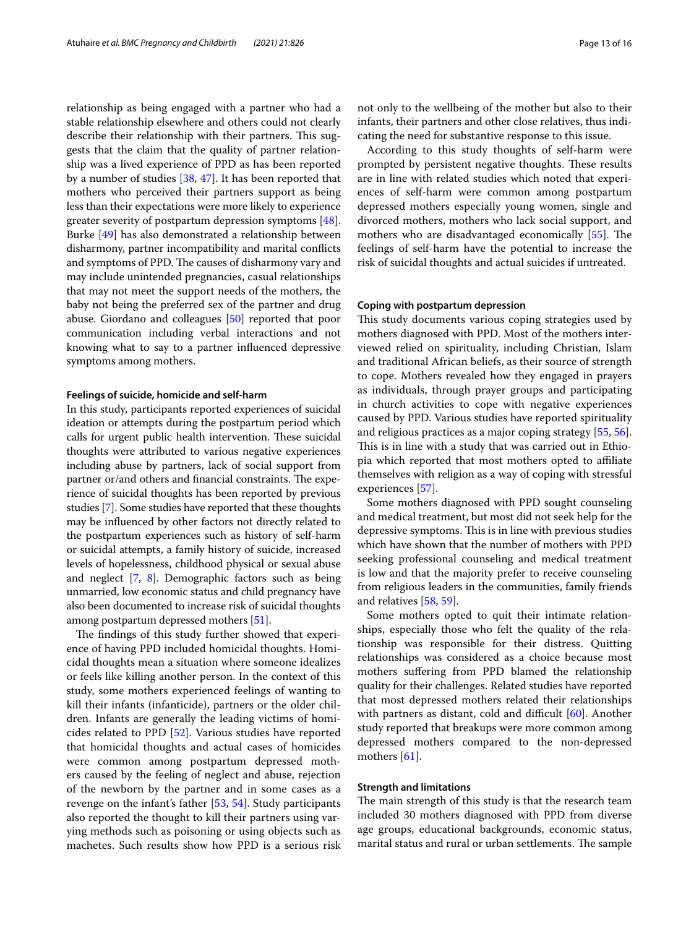relationship as being engaged with a partner who had a stable relationship elsewhere and others could not clearly describe their relationship with their partners. This suggests that the claim that the quality of partner relationship was a lived experience of PPD as has been reported by a number of studies [\[38,](#page-14-35) [47](#page-15-7)]. It has been reported that mothers who perceived their partners support as being less than their expectations were more likely to experience greater severity of postpartum depression symptoms [\[48](#page-15-8)]. Burke [[49\]](#page-15-9) has also demonstrated a relationship between disharmony, partner incompatibility and marital conficts and symptoms of PPD. The causes of disharmony vary and may include unintended pregnancies, casual relationships that may not meet the support needs of the mothers, the baby not being the preferred sex of the partner and drug abuse. Giordano and colleagues [[50](#page-15-10)] reported that poor communication including verbal interactions and not knowing what to say to a partner infuenced depressive symptoms among mothers.

### **Feelings of suicide, homicide and self‑harm**

In this study, participants reported experiences of suicidal ideation or attempts during the postpartum period which calls for urgent public health intervention. These suicidal thoughts were attributed to various negative experiences including abuse by partners, lack of social support from partner or/and others and financial constraints. The experience of suicidal thoughts has been reported by previous studies [[7\]](#page-14-6). Some studies have reported that these thoughts may be infuenced by other factors not directly related to the postpartum experiences such as history of self-harm or suicidal attempts, a family history of suicide, increased levels of hopelessness, childhood physical or sexual abuse and neglect [\[7](#page-14-6), [8](#page-14-36)]. Demographic factors such as being unmarried, low economic status and child pregnancy have also been documented to increase risk of suicidal thoughts among postpartum depressed mothers [\[51\]](#page-15-11).

The findings of this study further showed that experience of having PPD included homicidal thoughts. Homicidal thoughts mean a situation where someone idealizes or feels like killing another person. In the context of this study, some mothers experienced feelings of wanting to kill their infants (infanticide), partners or the older children. Infants are generally the leading victims of homicides related to PPD [\[52](#page-15-12)]. Various studies have reported that homicidal thoughts and actual cases of homicides were common among postpartum depressed mothers caused by the feeling of neglect and abuse, rejection of the newborn by the partner and in some cases as a revenge on the infant's father [[53,](#page-15-13) [54](#page-15-14)]. Study participants also reported the thought to kill their partners using varying methods such as poisoning or using objects such as machetes. Such results show how PPD is a serious risk not only to the wellbeing of the mother but also to their infants, their partners and other close relatives, thus indicating the need for substantive response to this issue.

According to this study thoughts of self-harm were prompted by persistent negative thoughts. These results are in line with related studies which noted that experiences of self-harm were common among postpartum depressed mothers especially young women, single and divorced mothers, mothers who lack social support, and mothers who are disadvantaged economically [[55\]](#page-15-15). The feelings of self-harm have the potential to increase the risk of suicidal thoughts and actual suicides if untreated.

# **Coping with postpartum depression**

This study documents various coping strategies used by mothers diagnosed with PPD. Most of the mothers interviewed relied on spirituality, including Christian, Islam and traditional African beliefs, as their source of strength to cope. Mothers revealed how they engaged in prayers as individuals, through prayer groups and participating in church activities to cope with negative experiences caused by PPD. Various studies have reported spirituality and religious practices as a major coping strategy [\[55,](#page-15-15) [56](#page-15-16)]. This is in line with a study that was carried out in Ethiopia which reported that most mothers opted to afliate themselves with religion as a way of coping with stressful experiences [\[57](#page-15-17)].

Some mothers diagnosed with PPD sought counseling and medical treatment, but most did not seek help for the depressive symptoms. This is in line with previous studies which have shown that the number of mothers with PPD seeking professional counseling and medical treatment is low and that the majority prefer to receive counseling from religious leaders in the communities, family friends and relatives [[58](#page-15-18), [59\]](#page-15-19).

Some mothers opted to quit their intimate relationships, especially those who felt the quality of the relationship was responsible for their distress. Quitting relationships was considered as a choice because most mothers sufering from PPD blamed the relationship quality for their challenges. Related studies have reported that most depressed mothers related their relationships with partners as distant, cold and difficult  $[60]$  $[60]$ . Another study reported that breakups were more common among depressed mothers compared to the non-depressed mothers [\[61](#page-15-21)].

# **Strength and limitations**

The main strength of this study is that the research team included 30 mothers diagnosed with PPD from diverse age groups, educational backgrounds, economic status, marital status and rural or urban settlements. The sample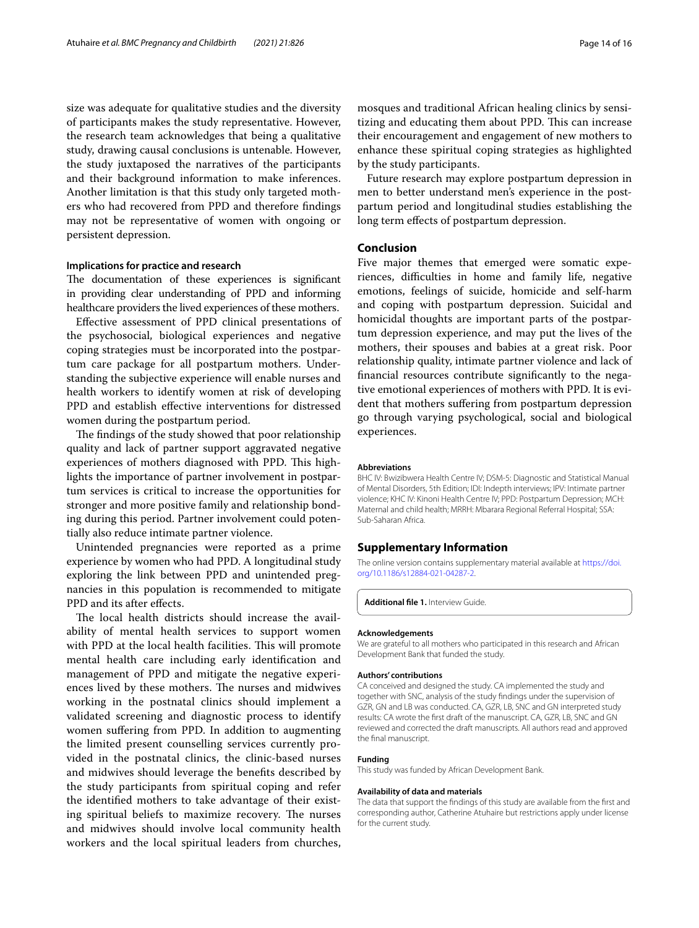size was adequate for qualitative studies and the diversity of participants makes the study representative. However, the research team acknowledges that being a qualitative study, drawing causal conclusions is untenable. However, the study juxtaposed the narratives of the participants and their background information to make inferences. Another limitation is that this study only targeted mothers who had recovered from PPD and therefore fndings may not be representative of women with ongoing or persistent depression.

#### **Implications for practice and research**

The documentation of these experiences is significant in providing clear understanding of PPD and informing healthcare providers the lived experiences of these mothers.

Efective assessment of PPD clinical presentations of the psychosocial, biological experiences and negative coping strategies must be incorporated into the postpartum care package for all postpartum mothers. Understanding the subjective experience will enable nurses and health workers to identify women at risk of developing PPD and establish effective interventions for distressed women during the postpartum period.

The findings of the study showed that poor relationship quality and lack of partner support aggravated negative experiences of mothers diagnosed with PPD. This highlights the importance of partner involvement in postpartum services is critical to increase the opportunities for stronger and more positive family and relationship bonding during this period. Partner involvement could potentially also reduce intimate partner violence.

Unintended pregnancies were reported as a prime experience by women who had PPD. A longitudinal study exploring the link between PPD and unintended pregnancies in this population is recommended to mitigate PPD and its after effects.

The local health districts should increase the availability of mental health services to support women with PPD at the local health facilities. This will promote mental health care including early identifcation and management of PPD and mitigate the negative experiences lived by these mothers. The nurses and midwives working in the postnatal clinics should implement a validated screening and diagnostic process to identify women sufering from PPD. In addition to augmenting the limited present counselling services currently provided in the postnatal clinics, the clinic-based nurses and midwives should leverage the benefts described by the study participants from spiritual coping and refer the identifed mothers to take advantage of their existing spiritual beliefs to maximize recovery. The nurses and midwives should involve local community health workers and the local spiritual leaders from churches, mosques and traditional African healing clinics by sensitizing and educating them about PPD. This can increase their encouragement and engagement of new mothers to enhance these spiritual coping strategies as highlighted by the study participants.

Future research may explore postpartum depression in men to better understand men's experience in the postpartum period and longitudinal studies establishing the long term efects of postpartum depression.

# **Conclusion**

Five major themes that emerged were somatic experiences, difficulties in home and family life, negative emotions, feelings of suicide, homicide and self-harm and coping with postpartum depression. Suicidal and homicidal thoughts are important parts of the postpartum depression experience, and may put the lives of the mothers, their spouses and babies at a great risk. Poor relationship quality, intimate partner violence and lack of fnancial resources contribute signifcantly to the negative emotional experiences of mothers with PPD. It is evident that mothers sufering from postpartum depression go through varying psychological, social and biological experiences.

#### **Abbreviations**

BHC IV: Bwizibwera Health Centre IV; DSM-5: Diagnostic and Statistical Manual of Mental Disorders, 5th Edition; IDI: Indepth interviews; IPV: Intimate partner violence; KHC IV: Kinoni Health Centre IV; PPD: Postpartum Depression; MCH: Maternal and child health; MRRH: Mbarara Regional Referral Hospital; SSA: Sub-Saharan Africa.

#### **Supplementary Information**

The online version contains supplementary material available at [https://doi.](https://doi.org/10.1186/s12884-021-04287-2) [org/10.1186/s12884-021-04287-2](https://doi.org/10.1186/s12884-021-04287-2).

<span id="page-13-0"></span>**Additional fle 1.** Interview Guide.

#### **Acknowledgements**

We are grateful to all mothers who participated in this research and African Development Bank that funded the study.

#### **Authors' contributions**

CA conceived and designed the study. CA implemented the study and together with SNC, analysis of the study fndings under the supervision of GZR, GN and LB was conducted. CA, GZR, LB, SNC and GN interpreted study results: CA wrote the frst draft of the manuscript. CA, GZR, LB, SNC and GN reviewed and corrected the draft manuscripts. All authors read and approved the fnal manuscript.

#### **Funding**

This study was funded by African Development Bank.

#### **Availability of data and materials**

The data that support the fndings of this study are available from the frst and corresponding author, Catherine Atuhaire but restrictions apply under license for the current study.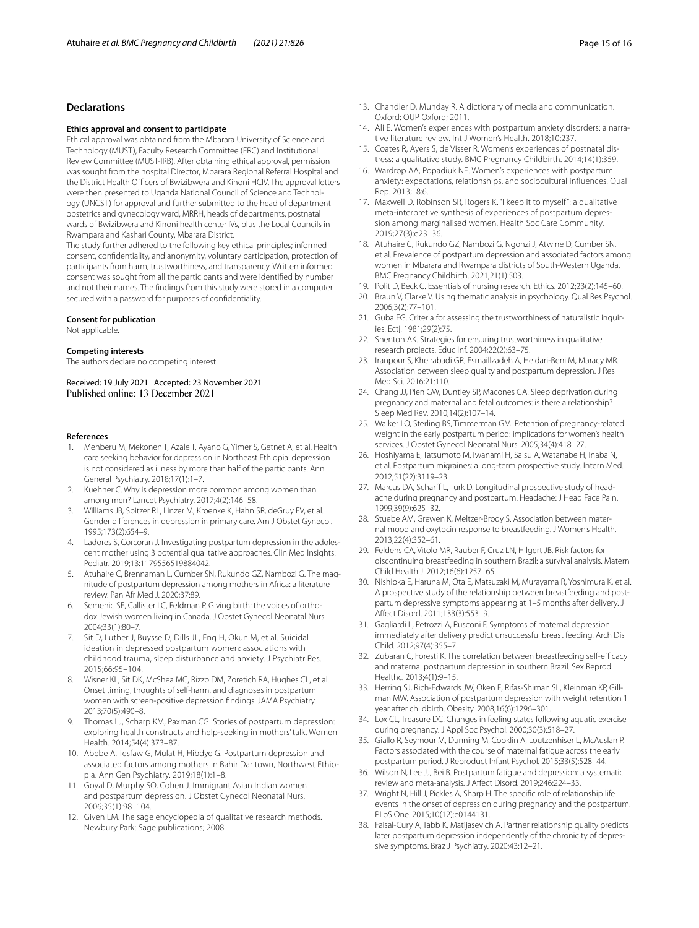# **Declarations**

#### **Ethics approval and consent to participate**

Ethical approval was obtained from the Mbarara University of Science and Technology (MUST), Faculty Research Committee (FRC) and Institutional Review Committee (MUST-IRB). After obtaining ethical approval, permission was sought from the hospital Director, Mbarara Regional Referral Hospital and the District Health Officers of Bwizibwera and Kinoni HCIV. The approval letters were then presented to Uganda National Council of Science and Technology (UNCST) for approval and further submitted to the head of department obstetrics and gynecology ward, MRRH, heads of departments, postnatal wards of Bwizibwera and Kinoni health center IVs, plus the Local Councils in Rwampara and Kashari County, Mbarara District.

The study further adhered to the following key ethical principles; informed consent, confdentiality, and anonymity, voluntary participation, protection of participants from harm, trustworthiness, and transparency. Written informed consent was sought from all the participants and were identifed by number and not their names. The fndings from this study were stored in a computer secured with a password for purposes of confdentiality.

#### **Consent for publication**

Not applicable.

#### **Competing interests**

The authors declare no competing interest.

Received: 19 July 2021 Accepted: 23 November 2021 Published online: 13 December 2021

#### **References**

- <span id="page-14-0"></span>1. Menberu M, Mekonen T, Azale T, Ayano G, Yimer S, Getnet A, et al. Health care seeking behavior for depression in Northeast Ethiopia: depression is not considered as illness by more than half of the participants. Ann General Psychiatry. 2018;17(1):1–7.
- <span id="page-14-1"></span>2. Kuehner C. Why is depression more common among women than among men? Lancet Psychiatry. 2017;4(2):146–58.
- <span id="page-14-2"></span>3. Williams JB, Spitzer RL, Linzer M, Kroenke K, Hahn SR, deGruy FV, et al. Gender diferences in depression in primary care. Am J Obstet Gynecol. 1995;173(2):654–9.
- <span id="page-14-3"></span>4. Ladores S, Corcoran J. Investigating postpartum depression in the adolescent mother using 3 potential qualitative approaches. Clin Med Insights: Pediatr. 2019;13:1179556519884042.
- <span id="page-14-4"></span>5. Atuhaire C, Brennaman L, Cumber SN, Rukundo GZ, Nambozi G. The magnitude of postpartum depression among mothers in Africa: a literature review. Pan Afr Med J. 2020;37:89.
- <span id="page-14-5"></span>6. Semenic SE, Callister LC, Feldman P. Giving birth: the voices of orthodox Jewish women living in Canada. J Obstet Gynecol Neonatal Nurs. 2004;33(1):80–7.
- <span id="page-14-6"></span>7. Sit D, Luther J, Buysse D, Dills JL, Eng H, Okun M, et al. Suicidal ideation in depressed postpartum women: associations with childhood trauma, sleep disturbance and anxiety. J Psychiatr Res. 2015;66:95–104.
- <span id="page-14-36"></span>8. Wisner KL, Sit DK, McShea MC, Rizzo DM, Zoretich RA, Hughes CL, et al. Onset timing, thoughts of self-harm, and diagnoses in postpartum women with screen-positive depression fndings. JAMA Psychiatry. 2013;70(5):490–8.
- <span id="page-14-7"></span>9. Thomas LJ, Scharp KM, Paxman CG. Stories of postpartum depression: exploring health constructs and help-seeking in mothers' talk. Women Health. 2014;54(4):373–87.
- <span id="page-14-8"></span>10. Abebe A, Tesfaw G, Mulat H, Hibdye G. Postpartum depression and associated factors among mothers in Bahir Dar town, Northwest Ethiopia. Ann Gen Psychiatry. 2019;18(1):1–8.
- <span id="page-14-9"></span>11. Goyal D, Murphy SO, Cohen J. Immigrant Asian Indian women and postpartum depression. J Obstet Gynecol Neonatal Nurs. 2006;35(1):98–104.
- <span id="page-14-10"></span>12. Given LM. The sage encyclopedia of qualitative research methods. Newbury Park: Sage publications; 2008.
- <span id="page-14-11"></span>13. Chandler D, Munday R. A dictionary of media and communication. Oxford: OUP Oxford; 2011.
- <span id="page-14-12"></span>14. Ali E. Women's experiences with postpartum anxiety disorders: a narrative literature review. Int J Women's Health. 2018;10:237.
- <span id="page-14-13"></span>15. Coates R, Ayers S, de Visser R. Women's experiences of postnatal distress: a qualitative study. BMC Pregnancy Childbirth. 2014;14(1):359.
- <span id="page-14-14"></span>16. Wardrop AA, Popadiuk NE. Women's experiences with postpartum anxiety: expectations, relationships, and sociocultural infuences. Qual Rep. 2013;18:6.
- <span id="page-14-15"></span>17. Maxwell D, Robinson SR, Rogers K. "I keep it to myself": a qualitative meta-interpretive synthesis of experiences of postpartum depression among marginalised women. Health Soc Care Community. 2019;27(3):e23–36.
- <span id="page-14-16"></span>18. Atuhaire C, Rukundo GZ, Nambozi G, Ngonzi J, Atwine D, Cumber SN, et al. Prevalence of postpartum depression and associated factors among women in Mbarara and Rwampara districts of South-Western Uganda. BMC Pregnancy Childbirth. 2021;21(1):503.
- <span id="page-14-17"></span>19. Polit D, Beck C. Essentials of nursing research. Ethics. 2012;23(2):145–60.
- <span id="page-14-18"></span>20. Braun V, Clarke V. Using thematic analysis in psychology. Qual Res Psychol. 2006;3(2):77–101.
- <span id="page-14-19"></span>21. Guba EG. Criteria for assessing the trustworthiness of naturalistic inquiries. Ectj. 1981;29(2):75.
- <span id="page-14-20"></span>22. Shenton AK. Strategies for ensuring trustworthiness in qualitative research projects. Educ Inf. 2004;22(2):63–75.
- <span id="page-14-21"></span>23. Iranpour S, Kheirabadi GR, Esmaillzadeh A, Heidari-Beni M, Maracy MR. Association between sleep quality and postpartum depression. J Res Med Sci. 2016;21:110.
- <span id="page-14-22"></span>24. Chang JJ, Pien GW, Duntley SP, Macones GA. Sleep deprivation during pregnancy and maternal and fetal outcomes: is there a relationship? Sleep Med Rev. 2010;14(2):107–14.
- <span id="page-14-23"></span>25. Walker LO, Sterling BS, Timmerman GM. Retention of pregnancy-related weight in the early postpartum period: implications for women's health services. J Obstet Gynecol Neonatal Nurs. 2005;34(4):418–27.
- <span id="page-14-24"></span>26. Hoshiyama E, Tatsumoto M, Iwanami H, Saisu A, Watanabe H, Inaba N, et al. Postpartum migraines: a long-term prospective study. Intern Med. 2012;51(22):3119–23.
- <span id="page-14-25"></span>27. Marcus DA, Scharff L, Turk D. Longitudinal prospective study of headache during pregnancy and postpartum. Headache: J Head Face Pain. 1999;39(9):625–32.
- <span id="page-14-26"></span>28. Stuebe AM, Grewen K, Meltzer-Brody S. Association between maternal mood and oxytocin response to breastfeeding. J Women's Health. 2013;22(4):352–61.
- 29. Feldens CA, Vitolo MR, Rauber F, Cruz LN, Hilgert JB. Risk factors for discontinuing breastfeeding in southern Brazil: a survival analysis. Matern Child Health J. 2012;16(6):1257–65.
- <span id="page-14-27"></span>30. Nishioka E, Haruna M, Ota E, Matsuzaki M, Murayama R, Yoshimura K, et al. A prospective study of the relationship between breastfeeding and postpartum depressive symptoms appearing at 1–5 months after delivery. J Afect Disord. 2011;133(3):553–9.
- <span id="page-14-28"></span>31. Gagliardi L, Petrozzi A, Rusconi F. Symptoms of maternal depression immediately after delivery predict unsuccessful breast feeding. Arch Dis Child. 2012;97(4):355–7.
- <span id="page-14-29"></span>32. Zubaran C, Foresti K. The correlation between breastfeeding self-efficacy and maternal postpartum depression in southern Brazil. Sex Reprod Healthc. 2013;4(1):9–15.
- <span id="page-14-30"></span>33. Herring SJ, Rich-Edwards JW, Oken E, Rifas-Shiman SL, Kleinman KP, Gillman MW. Association of postpartum depression with weight retention 1 year after childbirth. Obesity. 2008;16(6):1296–301.
- <span id="page-14-31"></span>34. Lox CL, Treasure DC. Changes in feeling states following aquatic exercise during pregnancy. J Appl Soc Psychol. 2000;30(3):518–27.
- <span id="page-14-32"></span>35. Giallo R, Seymour M, Dunning M, Cooklin A, Loutzenhiser L, McAuslan P. Factors associated with the course of maternal fatigue across the early postpartum period. J Reproduct Infant Psychol. 2015;33(5):528–44.
- <span id="page-14-33"></span>36. Wilson N, Lee JJ, Bei B. Postpartum fatigue and depression: a systematic review and meta-analysis. J Afect Disord. 2019;246:224–33.
- <span id="page-14-34"></span>37. Wright N, Hill J, Pickles A, Sharp H. The specifc role of relationship life events in the onset of depression during pregnancy and the postpartum. PLoS One. 2015;10(12):e0144131.
- <span id="page-14-35"></span>38. Faisal-Cury A, Tabb K, Matijasevich A. Partner relationship quality predicts later postpartum depression independently of the chronicity of depressive symptoms. Braz J Psychiatry. 2020;43:12–21.